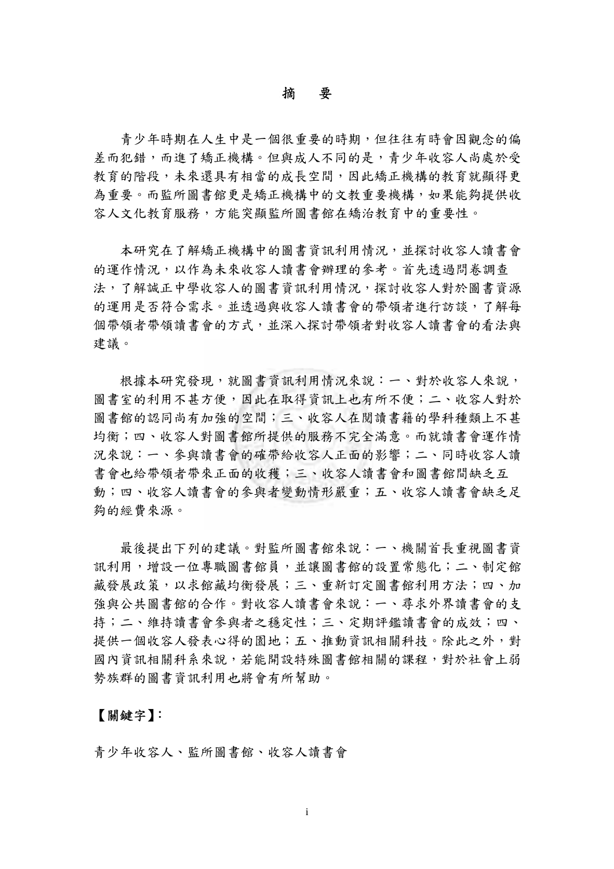摘 要

 青少年時期在人生中是一個很重要的時期,但往往有時會因觀念的偏 差而犯錯,而進了矯正機構。但與成人不同的是,青少年收容人尚處於受 教育的階段,未來還具有相當的成長空間,因此矯正機構的教育就顯得更 為重要。而監所圖書館更是矯正機構中的文教重要機構,如果能夠提供收 容人文化教育服務,方能突顯監所圖書館在矯治教育中的重要性。

 本研究在了解矯正機構中的圖書資訊利用情況,並探討收容人讀書會 的運作情況,以作為未來收容人讀書會辦理的參考。首先透過問卷調查 法,了解誠正中學收容人的圖書資訊利用情況,探討收容人對於圖書資源 的運用是否符合需求。並透過與收容人讀書會的帶領者進行訪談,了解每 個帶領者帶領讀書會的方式,並深入探討帶領者對收容人讀書會的看法與 建議。

 根據本研究發現,就圖書資訊利用情況來說:一、對於收容人來說, 圖書室的利用不甚方便,因此在取得資訊上也有所不便;二、收容人對於 圖書館的認同尚有加強的空間;三、收容人在閱讀書籍的學科種類上不甚 均衡;四、收容人對圖書館所提供的服務不完全滿意。而就讀書會運作情 況來說:一、參與讀書會的確帶給收容人正面的影響;二、同時收容人讀 書會也給帶領者帶來正面的收穫;三、收容人讀書會和圖書館間缺乏互 動;四、收容人讀書會的參與者變動情形嚴重;五、收容人讀書會缺乏足 夠的經費來源。

 最後提出下列的建議。對監所圖書館來說:一、機關首長重視圖書資 訊利用,增設一位專職圖書館員,並讓圖書館的設置常態化;二、制定館 藏發展政策,以求館藏均衡發展;三、重新訂定圖書館利用方法;四、加 強與公共圖書館的合作。對收容人讀書會來說:一、尋求外界讀書會的支 持;二、維持讀書會參與者之穩定性;三、定期評鑑讀書會的成效;四、 提供一個收容人發表心得的園地;五、推動資訊相關科技。除此之外,對 國內資訊相關科系來說,若能開設特殊圖書館相關的課程,對於社會上弱 勢族群的圖書資訊利用也將會有所幫助。

## 【關鍵字】:

青少年收容人、監所圖書館、收容人讀書會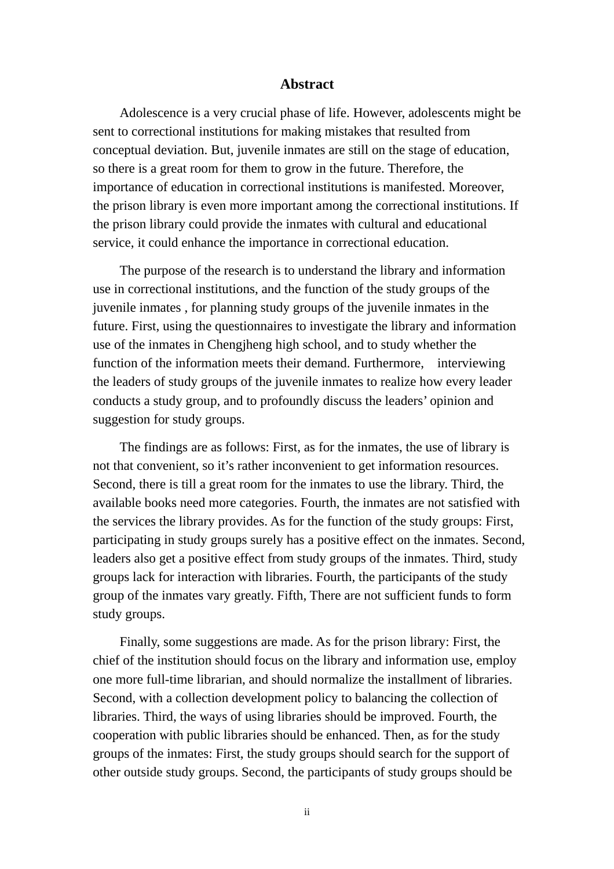## **Abstract**

 Adolescence is a very crucial phase of life. However, adolescents might be sent to correctional institutions for making mistakes that resulted from conceptual deviation. But, juvenile inmates are still on the stage of education, so there is a great room for them to grow in the future. Therefore, the importance of education in correctional institutions is manifested. Moreover, the prison library is even more important among the correctional institutions. If the prison library could provide the inmates with cultural and educational service, it could enhance the importance in correctional education.

 The purpose of the research is to understand the library and information use in correctional institutions, and the function of the study groups of the juvenile inmates , for planning study groups of the juvenile inmates in the future. First, using the questionnaires to investigate the library and information use of the inmates in Chengjheng high school, and to study whether the function of the information meets their demand. Furthermore, interviewing the leaders of study groups of the juvenile inmates to realize how every leader conducts a study group, and to profoundly discuss the leaders' opinion and suggestion for study groups.

 The findings are as follows: First, as for the inmates, the use of library is not that convenient, so it's rather inconvenient to get information resources. Second, there is till a great room for the inmates to use the library. Third, the available books need more categories. Fourth, the inmates are not satisfied with the services the library provides. As for the function of the study groups: First, participating in study groups surely has a positive effect on the inmates. Second, leaders also get a positive effect from study groups of the inmates. Third, study groups lack for interaction with libraries. Fourth, the participants of the study group of the inmates vary greatly. Fifth, There are not sufficient funds to form study groups.

 Finally, some suggestions are made. As for the prison library: First, the chief of the institution should focus on the library and information use, employ one more full-time librarian, and should normalize the installment of libraries. Second, with a collection development policy to balancing the collection of libraries. Third, the ways of using libraries should be improved. Fourth, the cooperation with public libraries should be enhanced. Then, as for the study groups of the inmates: First, the study groups should search for the support of other outside study groups. Second, the participants of study groups should be